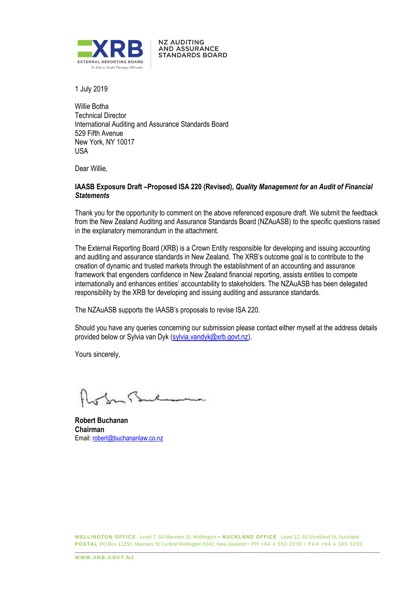

**NZ AUDITING AND ASSURANCE STANDARDS BOARD** 

1 July 2019

Willie Botha Technical Director International Auditing and Assurance Standards Board 529 Fifth Avenue New York, NY 10017 USA

Dear Willie,

### **IAASB Exposure Draft –Proposed ISA 220 (Revised),** *Quality Management for an Audit of Financial Statements*

Thank you for the opportunity to comment on the above referenced exposure draft. We submit the feedback from the New Zealand Auditing and Assurance Standards Board (NZAuASB) to the specific questions raised in the explanatory memorandum in the attachment.

The External Reporting Board (XRB) is a Crown Entity responsible for developing and issuing accounting and auditing and assurance standards in New Zealand. The XRB's outcome goal is to contribute to the creation of dynamic and trusted markets through the establishment of an accounting and assurance framework that engenders confidence in New Zealand financial reporting, assists entities to compete internationally and enhances entities' accountability to stakeholders. The NZAuASB has been delegated responsibility by the XRB for developing and issuing auditing and assurance standards.

The NZAuASB supports the IAASB's proposals to revise ISA 220.

Should you have any queries concerning our submission please contact either myself at the address details provided below or Sylvia van Dyk (sylvia.vandyk@xrb.govt.nz).

Yours sincerely,

**Robert Buchanan Chairman** Email: robert@buchananlaw.co.nz

**WELLINGTON OFFICE** Level 7, 50 Manners St, Wellington **• AUCKLAND OFFICE** Level 12, 55 Shortland St, Auckland **POSTAL** PO Box 11250, Manners St Central Wellington 6142, New Zealand • PH +64 4 550 2030 • FAX +64 4 385 3256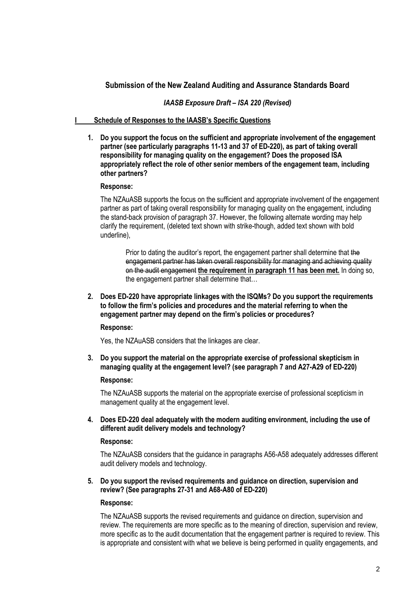# **Submission of the New Zealand Auditing and Assurance Standards Board**

## *IAASB Exposure Draft – ISA 220 (Revised)*

# **I Schedule of Responses to the IAASB's Specific Questions**

**1. Do you support the focus on the sufficient and appropriate involvement of the engagement partner (see particularly paragraphs 11-13 and 37 of ED-220), as part of taking overall responsibility for managing quality on the engagement? Does the proposed ISA appropriately reflect the role of other senior members of the engagement team, including other partners?**

### **Response:**

The NZAuASB supports the focus on the sufficient and appropriate involvement of the engagement partner as part of taking overall responsibility for managing quality on the engagement, including the stand-back provision of paragraph 37. However, the following alternate wording may help clarify the requirement, (deleted text shown with strike-though, added text shown with bold underline),

Prior to dating the auditor's report, the engagement partner shall determine that the engagement partner has taken overall responsibility for managing and achieving quality on the audit engagement **the requirement in paragraph 11 has been met.** In doing so, the engagement partner shall determine that…

**2. Does ED-220 have appropriate linkages with the ISQMs? Do you support the requirements to follow the firm's policies and procedures and the material referring to when the engagement partner may depend on the firm's policies or procedures?**

### **Response:**

Yes, the NZAuASB considers that the linkages are clear.

**3. Do you support the material on the appropriate exercise of professional skepticism in managing quality at the engagement level? (see paragraph 7 and A27-A29 of ED-220)**

### **Response:**

The NZAuASB supports the material on the appropriate exercise of professional scepticism in management quality at the engagement level.

**4. Does ED-220 deal adequately with the modern auditing environment, including the use of different audit delivery models and technology?**

#### **Response:**

The NZAuASB considers that the guidance in paragraphs A56-A58 adequately addresses different audit delivery models and technology.

## **5. Do you support the revised requirements and guidance on direction, supervision and review? (See paragraphs 27-31 and A68-A80 of ED-220)**

### **Response:**

The NZAuASB supports the revised requirements and guidance on direction, supervision and review. The requirements are more specific as to the meaning of direction, supervision and review, more specific as to the audit documentation that the engagement partner is required to review. This is appropriate and consistent with what we believe is being performed in quality engagements, and